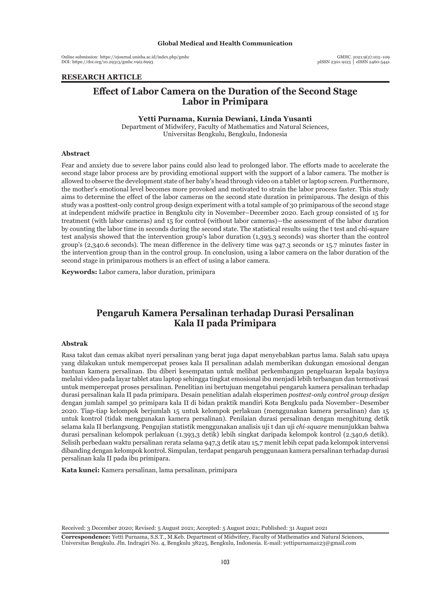Online submission: https://ejournal.unisba.ac.id/index.php/gmhc DOI: pISSN 2301-9123 │ eISSN 2460-5441 https://doi.org/10.29313/gmhc.v9i2.6993

GMHC. 2021;9(2):103–109<br>pISSN 2301-9123 | eISSN 2460-5441

# **RESEARCH ARTICLE**

# **Effect of Labor Camera on the Duration of the Second Stage Labor in Primipara**

#### **Yetti Purnama, Kurnia Dewiani, Linda Yusanti**

Department of Midwifery, Faculty of Mathematics and Natural Sciences, Universitas Bengkulu, Bengkulu, Indonesia

#### **Abstract**

Fear and anxiety due to severe labor pains could also lead to prolonged labor. The efforts made to accelerate the second stage labor process are by providing emotional support with the support of a labor camera. The mother is allowed to observe the development state of her baby's head through video on a tablet or laptop screen. Furthermore, the mother's emotional level becomes more provoked and motivated to strain the labor process faster. This study aims to determine the effect of the labor cameras on the second state duration in primiparous. The design of this study was a posttest-only control group design experiment with a total sample of 30 primiparous of the second stage at independent midwife practice in Bengkulu city in November–December 2020. Each group consisted of 15 for treatment (with labor cameras) and 15 for control (without labor cameras)—the assessment of the labor duration by counting the labor time in seconds during the second state. The statistical results using the t test and chi-square test analysis showed that the intervention group's labor duration (1,393.3 seconds) was shorter than the control group's (2,340.6 seconds). The mean difference in the delivery time was 947.3 seconds or 15.7 minutes faster in the intervention group than in the control group. In conclusion, using a labor camera on the labor duration of the second stage in primiparous mothers is an effect of using a labor camera.

**Keywords:** Labor camera, labor duration, primipara

# **Pengaruh Kamera Persalinan terhadap Durasi Persalinan Kala II pada Primipara**

#### **Abstrak**

Rasa takut dan cemas akibat nyeri persalinan yang berat juga dapat menyebabkan partus lama. Salah satu upaya yang dilakukan untuk mempercepat proses kala II persalinan adalah memberikan dukungan emosional dengan bantuan kamera persalinan. Ibu diberi kesempatan untuk melihat perkembangan pengeluaran kepala bayinya melalui video pada layar tablet atau laptop sehingga tingkat emosional ibu menjadi lebih terbangun dan termotivasi untuk mempercepat proses persalinan. Penelitian ini bertujuan mengetahui pengaruh kamera persalinan terhadap durasi persalinan kala II pada primipara. Desain penelitian adalah eksperimen *posttest-only control group design* dengan jumlah sampel 30 primipara kala II di bidan praktik mandiri Kota Bengkulu pada November–Desember 2020. Tiap-tiap kelompok berjumlah 15 untuk kelompok perlakuan (menggunakan kamera persalinan) dan 15 untuk kontrol (tidak menggunakan kamera persalinan). Penilaian durasi persalinan dengan menghitung detik selama kala II berlangsung. Pengujian statistik menggunakan analisis uji t dan uji *chi-square* menunjukkan bahwa durasi persalinan kelompok perlakuan (1.393,3 detik) lebih singkat daripada kelompok kontrol (2.340,6 detik). Selisih perbedaan waktu persalinan rerata selama 947,3 detik atau 15,7 menit lebih cepat pada kelompok intervensi dibanding dengan kelompok kontrol. Simpulan, terdapat pengaruh penggunaan kamera persalinan terhadap durasi persalinan kala II pada ibu primipara.

**Kata kunci:** Kamera persalinan, lama persalinan, primipara

Received: 3 December 2020; Revised: 5 August 2021; Accepted: 5 August 2021; Published: 31 August 2021

**Correspondence:** Yetti Purnama, S.S.T., M.Keb. Department of Midwifery, Faculty of Mathematics and Natural Sciences, Universitas Bengkulu. Jln. Indragiri No. 4, Bengkulu 38225, Bengkulu, Indonesia. E-mail: yettipurnama123@gmail.com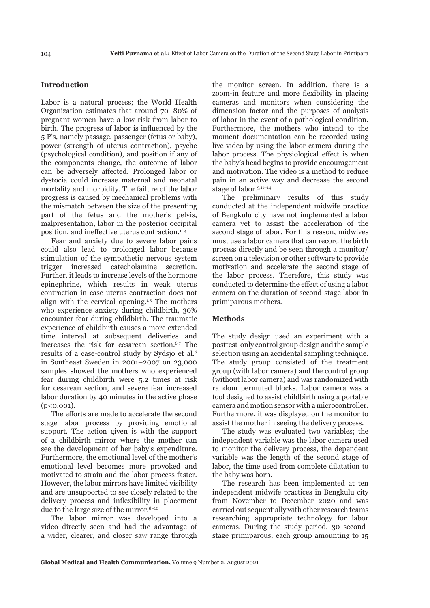#### **Introduction**

Labor is a natural process; the World Health Organization estimates that around 70–80% of pregnant women have a low risk from labor to birth. The progress of labor is influenced by the 5 P's, namely passage, passenger (fetus or baby), power (strength of uterus contraction), psyche (psychological condition), and position if any of the components change, the outcome of labor can be adversely affected. Prolonged labor or dystocia could increase maternal and neonatal mortality and morbidity. The failure of the labor progress is caused by mechanical problems with the mismatch between the size of the presenting part of the fetus and the mother's pelvis, malpresentation, labor in the posterior occipital position, and ineffective uterus contraction.1–4

Fear and anxiety due to severe labor pains could also lead to prolonged labor because stimulation of the sympathetic nervous system trigger increased catecholamine secretion. Further, it leads to increase levels of the hormone epinephrine, which results in weak uterus contraction in case uterus contraction does not align with the cervical opening.1,5 The mothers who experience anxiety during childbirth, 30% encounter fear during childbirth. The traumatic experience of childbirth causes a more extended time interval at subsequent deliveries and increases the risk for cesarean section.<sup>6,7</sup> The results of a case-control study by Sydsjo et al.6 in Southeast Sweden in 2001–2007 on 23,000 samples showed the mothers who experienced fear during childbirth were 5.2 times at risk for cesarean section, and severe fear increased labor duration by 40 minutes in the active phase (p<0.001).

The efforts are made to accelerate the second stage labor process by providing emotional support. The action given is with the support of a childbirth mirror where the mother can see the development of her baby's expenditure. Furthermore, the emotional level of the mother's emotional level becomes more provoked and motivated to strain and the labor process faster. However, the labor mirrors have limited visibility and are unsupported to see closely related to the delivery process and inflexibility in placement due to the large size of the mirror.<sup>8-10</sup>

The labor mirror was developed into a video directly seen and had the advantage of a wider, clearer, and closer saw range through the monitor screen. In addition, there is a zoom-in feature and more flexibility in placing cameras and monitors when considering the dimension factor and the purposes of analysis of labor in the event of a pathological condition. Furthermore, the mothers who intend to the moment documentation can be recorded using live video by using the labor camera during the labor process. The physiological effect is when the baby's head begins to provide encouragement and motivation. The video is a method to reduce pain in an active way and decrease the second stage of labor.9,11–14

The preliminary results of this study conducted at the independent midwife practice of Bengkulu city have not implemented a labor camera yet to assist the acceleration of the second stage of labor. For this reason, midwives must use a labor camera that can record the birth process directly and be seen through a monitor/ screen on a television or other software to provide motivation and accelerate the second stage of the labor process. Therefore, this study was conducted to determine the effect of using a labor camera on the duration of second-stage labor in primiparous mothers.

# **Methods**

The study design used an experiment with a posttest-only control group design and the sample selection using an accidental sampling technique. The study group consisted of the treatment group (with labor camera) and the control group (without labor camera) and was randomized with random permuted blocks. Labor camera was a tool designed to assist childbirth using a portable camera and motion sensor with a microcontroller. Furthermore, it was displayed on the monitor to assist the mother in seeing the delivery process.

The study was evaluated two variables; the independent variable was the labor camera used to monitor the delivery process, the dependent variable was the length of the second stage of labor, the time used from complete dilatation to the baby was born.

The research has been implemented at ten independent midwife practices in Bengkulu city from November to December 2020 and was carried out sequentially with other research teams researching appropriate technology for labor cameras. During the study period, 30 secondstage primiparous, each group amounting to 15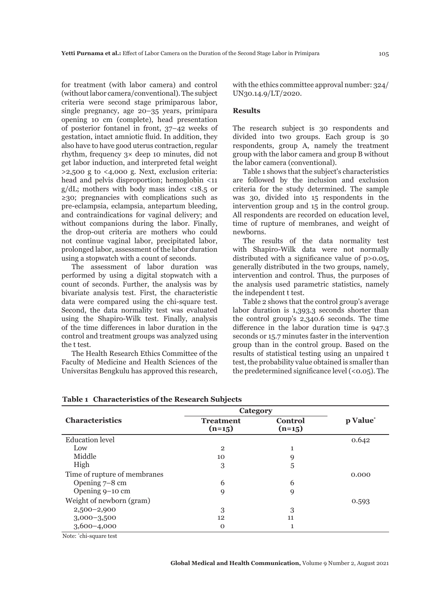for treatment (with labor camera) and control (without labor camera/conventional). The subject criteria were second stage primiparous labor, single pregnancy, age 20–35 years, primipara opening 10 cm (complete), head presentation of posterior fontanel in front, 37–42 weeks of gestation, intact amniotic fluid. In addition, they also have to have good uterus contraction, regular rhythm, frequency 3× deep 10 minutes, did not get labor induction, and interpreted fetal weight  $>2,500$  g to  $<4,000$  g. Next, exclusion criteria: head and pelvis disproportion; hemoglobin <11 g/dL; mothers with body mass index <18.5 or ≥30; pregnancies with complications such as pre-eclampsia, eclampsia, antepartum bleeding, and contraindications for vaginal delivery; and without companions during the labor. Finally, the drop-out criteria are mothers who could not continue vaginal labor, precipitated labor, prolonged labor, assessment of the labor duration using a stopwatch with a count of seconds.

The assessment of labor duration was performed by using a digital stopwatch with a count of seconds. Further, the analysis was by bivariate analysis test. First, the characteristic data were compared using the chi-square test. Second, the data normality test was evaluated using the Shapiro-Wilk test. Finally, analysis of the time differences in labor duration in the control and treatment groups was analyzed using the t test.

The Health Research Ethics Committee of the Faculty of Medicine and Health Sciences of the Universitas Bengkulu has approved this research,

with the ethics committee approval number: 324/ UN30.14.9/LT/2020.

# **Results**

The research subject is 30 respondents and divided into two groups. Each group is 30 respondents, group A, namely the treatment group with the labor camera and group B without the labor camera (conventional).

Table 1 shows that the subject's characteristics are followed by the inclusion and exclusion criteria for the study determined. The sample was 30, divided into 15 respondents in the intervention group and 15 in the control group. All respondents are recorded on education level, time of rupture of membranes, and weight of newborns.

The results of the data normality test with Shapiro-Wilk data were not normally distributed with a significance value of p>0.05, generally distributed in the two groups, namely, intervention and control. Thus, the purposes of the analysis used parametric statistics, namely the independent t test.

Table 2 shows that the control group's average labor duration is 1,393.3 seconds shorter than the control group's 2,340.6 seconds. The time difference in the labor duration time is 947.3 seconds or 15.7 minutes faster in the intervention group than in the control group. Based on the results of statistical testing using an unpaired t test, the probability value obtained is smaller than the predetermined significance level (<0.05). The

|                              | Category                     |                            |          |  |
|------------------------------|------------------------------|----------------------------|----------|--|
| <b>Characteristics</b>       | <b>Treatment</b><br>$(n=15)$ | <b>Control</b><br>$(n=15)$ | p Value* |  |
| Education level              |                              |                            | 0.642    |  |
| Low                          | $\overline{2}$               | 1                          |          |  |
| Middle                       | 10                           | 9                          |          |  |
| High                         | 3                            | 5                          |          |  |
| Time of rupture of membranes |                              |                            | 0.000    |  |
| Opening 7-8 cm               | 6                            | 6                          |          |  |
| Opening 9-10 cm              | 9                            | 9                          |          |  |
| Weight of newborn (gram)     |                              |                            | 0.593    |  |
| $2,500-2,900$                | 3                            | 3                          |          |  |
| $3,000-3,500$                | 12                           | 11                         |          |  |
| $3,600 - 4,000$              | $\Omega$                     | 1                          |          |  |
| Motor toled agreements at    |                              |                            |          |  |

**Table 1 Characteristics of the Research Subjects**

Note: \* chi-square test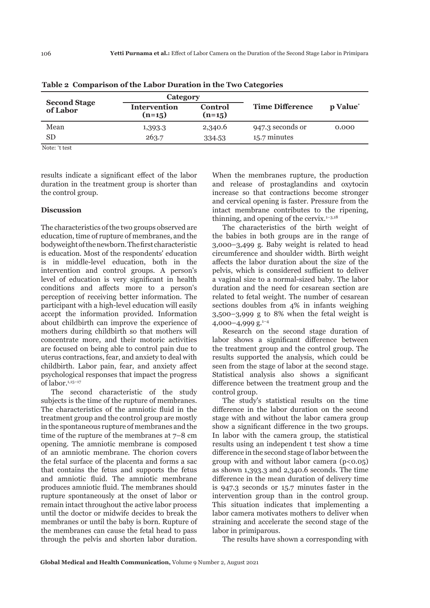| <b>Second Stage</b><br>of Labor | Category                 |                            |                        |                      |
|---------------------------------|--------------------------|----------------------------|------------------------|----------------------|
|                                 | Intervention<br>$(n=15)$ | <b>Control</b><br>$(n=15)$ | <b>Time Difference</b> | p Value <sup>*</sup> |
| Mean                            | 1,393.3                  | 2,340.6                    | 947.3 seconds or       | 0.000                |
| SD                              | 263.7                    | 334.53                     | 15.7 minutes           |                      |

**Table 2 Comparison of the Labor Duration in the Two Categories**

Note: \* t test

results indicate a significant effect of the labor duration in the treatment group is shorter than the control group.

### **Discussion**

The characteristics of the two groups observed are education, time of rupture of membranes, and the bodyweight of the newborn. The first characteristic is education. Most of the respondents' education is in middle-level education, both in the intervention and control groups. A person's level of education is very significant in health conditions and affects more to a person's perception of receiving better information. The participant with a high-level education will easily accept the information provided. Information about childbirth can improve the experience of mothers during childbirth so that mothers will concentrate more, and their motoric activities are focused on being able to control pain due to uterus contractions, fear, and anxiety to deal with childbirth. Labor pain, fear, and anxiety affect psychological responses that impact the progress of labor.<sup>1,15-17</sup>

The second characteristic of the study subjects is the time of the rupture of membranes. The characteristics of the amniotic fluid in the treatment group and the control group are mostly in the spontaneous rupture of membranes and the time of the rupture of the membranes at 7–8 cm opening. The amniotic membrane is composed of an amniotic membrane. The chorion covers the fetal surface of the placenta and forms a sac that contains the fetus and supports the fetus and amniotic fluid. The amniotic membrane produces amniotic fluid. The membranes should rupture spontaneously at the onset of labor or remain intact throughout the active labor process until the doctor or midwife decides to break the membranes or until the baby is born. Rupture of the membranes can cause the fetal head to pass through the pelvis and shorten labor duration.

When the membranes rupture, the production and release of prostaglandins and oxytocin increase so that contractions become stronger and cervical opening is faster. Pressure from the intact membrane contributes to the ripening, thinning, and opening of the cervix. $1-3,18$ 

The characteristics of the birth weight of the babies in both groups are in the range of 3,000–3,499 g. Baby weight is related to head circumference and shoulder width. Birth weight affects the labor duration about the size of the pelvis, which is considered sufficient to deliver a vaginal size to a normal-sized baby. The labor duration and the need for cesarean section are related to fetal weight. The number of cesarean sections doubles from 4% in infants weighing 3,500–3,999 g to 8% when the fetal weight is 4,000–4,999 g. $^{1-4}$ 

Research on the second stage duration of labor shows a significant difference between the treatment group and the control group. The results supported the analysis, which could be seen from the stage of labor at the second stage. Statistical analysis also shows a significant difference between the treatment group and the control group.

The study's statistical results on the time difference in the labor duration on the second stage with and without the labor camera group show a significant difference in the two groups. In labor with the camera group, the statistical results using an independent t test show a time difference in the second stage of labor between the group with and without labor camera  $(p<0.05)$ as shown 1,393.3 and 2,340.6 seconds. The time difference in the mean duration of delivery time is 947.3 seconds or 15.7 minutes faster in the intervention group than in the control group. This situation indicates that implementing a labor camera motivates mothers to deliver when straining and accelerate the second stage of the labor in primiparous.

The results have shown a corresponding with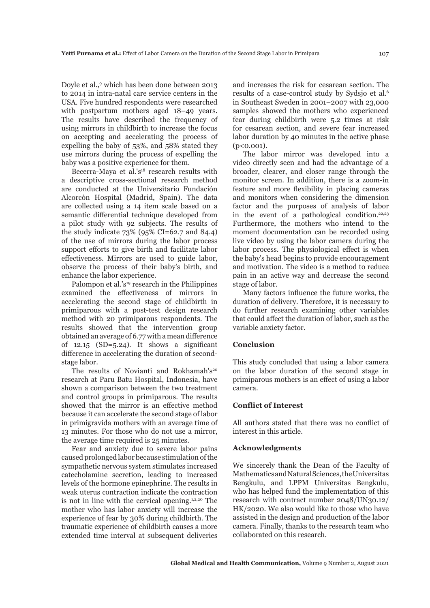Doyle et al.,<sup>9</sup> which has been done between 2013 to 2014 in intra-natal care service centers in the USA. Five hundred respondents were researched with postpartum mothers aged 18–49 years. The results have described the frequency of using mirrors in childbirth to increase the focus on accepting and accelerating the process of expelling the baby of 53%, and 58% stated they use mirrors during the process of expelling the baby was a positive experience for them.

Becerra-Maya et al.'s<sup>18</sup> research results with a descriptive cross-sectional research method are conducted at the Universitario Fundación Alcorcón Hospital (Madrid, Spain). The data are collected using a 14 item scale based on a semantic differential technique developed from a pilot study with 92 subjects. The results of the study indicate  $73\%$  (95% CI=62.7 and 84.4) of the use of mirrors during the labor process support efforts to give birth and facilitate labor effectiveness. Mirrors are used to guide labor, observe the process of their baby's birth, and enhance the labor experience.

Palompon et al.'s<sup>19</sup> research in the Philippines examined the effectiveness of mirrors in accelerating the second stage of childbirth in primiparous with a post-test design research method with 20 primiparous respondents. The results showed that the intervention group obtained an average of 6.77 with a mean difference of  $12.15$  (SD=5.24). It shows a significant difference in accelerating the duration of secondstage labor.

The results of Novianti and Rokhamah's<sup>20</sup> research at Paru Batu Hospital, Indonesia, have shown a comparison between the two treatment and control groups in primiparous. The results showed that the mirror is an effective method because it can accelerate the second stage of labor in primigravida mothers with an average time of 13 minutes. For those who do not use a mirror, the average time required is 25 minutes.

Fear and anxiety due to severe labor pains caused prolonged labor because stimulation of the sympathetic nervous system stimulates increased catecholamine secretion, leading to increased levels of the hormone epinephrine. The results in weak uterus contraction indicate the contraction is not in line with the cervical opening.<sup>1,2,20</sup> The mother who has labor anxiety will increase the experience of fear by 30% during childbirth. The traumatic experience of childbirth causes a more extended time interval at subsequent deliveries

and increases the risk for cesarean section. The results of a case-control study by Sydsjo et al.6 in Southeast Sweden in 2001–2007 with 23,000 samples showed the mothers who experienced fear during childbirth were 5.2 times at risk for cesarean section, and severe fear increased labor duration by 40 minutes in the active phase  $(p < 0.001)$ .

The labor mirror was developed into a video directly seen and had the advantage of a broader, clearer, and closer range through the monitor screen. In addition, there is a zoom-in feature and more flexibility in placing cameras and monitors when considering the dimension factor and the purposes of analysis of labor in the event of a pathological condition.<sup>22,23</sup> Furthermore, the mothers who intend to the moment documentation can be recorded using live video by using the labor camera during the labor process. The physiological effect is when the baby's head begins to provide encouragement and motivation. The video is a method to reduce pain in an active way and decrease the second stage of labor.

Many factors influence the future works, the duration of delivery. Therefore, it is necessary to do further research examining other variables that could affect the duration of labor, such as the variable anxiety factor.

#### **Conclusion**

This study concluded that using a labor camera on the labor duration of the second stage in primiparous mothers is an effect of using a labor camera.

### **Conflict of Interest**

All authors stated that there was no conflict of interest in this article.

# **Acknowledgments**

We sincerely thank the Dean of the Faculty of Mathematics and Natural Sciences, the Universitas Bengkulu, and LPPM Universitas Bengkulu, who has helped fund the implementation of this research with contract number 2048/UN30.12/ HK/2020. We also would like to those who have assisted in the design and production of the labor camera. Finally, thanks to the research team who collaborated on this research.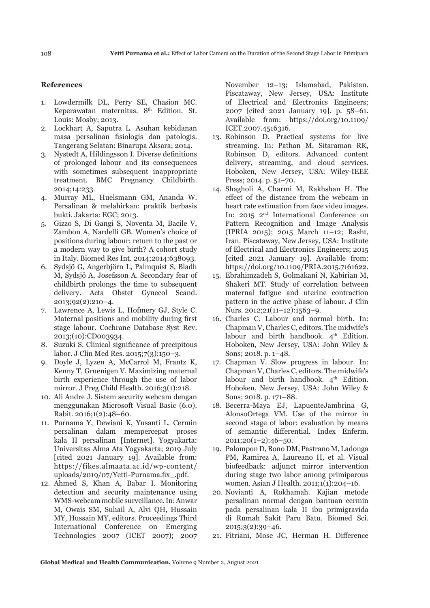#### **References**

- 1. Lowdermilk DL, Perry SE, Chasion MC. Keperawatan maternitas. 8<sup>th</sup> Edition. St. Louis: Mosby; 2013.
- 2. Lockhart A, Saputra L. Asuhan kebidanan masa persalinan fisiologis dan patologis. Tangerang Selatan: Binarupa Aksara; 2014.
- 3. Nystedt A, Hildingsson I. Diverse definitions of prolonged labour and its consequences with sometimes subsequent inappropriate treatment. BMC Pregnancy Childbirth. 2014;14:233.
- 4. Murray ML, Huelsmann GM, Ananda W. Persalinan & melahirkan: praktik berbasis bukti. Jakarta: EGC; 2013.
- 5. Gizzo S, Di Gangi S, Noventa M, Bacile V, Zambon A, Nardelli GB. Women's choice of positions during labour: return to the past or a modern way to give birth? A cohort study in Italy. Biomed Res Int. 2014;2014:638093.
- 6. Sydsjö G, Angerbjörn L, Palmquist S, Bladh M, Sydsjö A, Josefsson A. Secondary fear of childbirth prolongs the time to subsequent delivery. Acta Obstet Gynecol Scand. 2013;92(2):210–4.
- 7. Lawrence A, Lewis L, Hofmery GJ, Style C. Maternal positions and mobility during first stage labour. Cochrane Database Syst Rev. 2013;(10):CD003934.
- 8. Suzuki S. Clinical significance of precipitous labor. J Clin Med Res. 2015;7(3):150–3.
- 9. Doyle J, Lyzen A, McCarrol M, Frantz K, Kenny T, Gruenigen V. Maximizing maternal birth experience through the use of labor mirror. J Preg Child Health. 2016;3(1):218.
- 10. Ali Andre J. Sistem security webcam dengan menggunakan Microsoft Visual Basic (6.0). Rabit. 2016;1(2):48–60.
- 11. Purnama Y, Dewiani K, Yusanti L. Cermin persalinan dalam mempercepat proses kala II persalinan [Internet]. Yogyakarta: Universitas Alma Ata Yogyakarta; 2019 July [cited 2021 January 19]. Available from: https://fikes.almaata.ac.id/wp-content/ uploads/2019/07/Yetti-Purnama.fix\_.pdf.
- 12. Ahmed S, Khan A, Babar I. Monitoring detection and security maintenance using WMS-webcam mobile surveillance. In: Anwar M, Owais SM, Suhail A, Alvi QH, Hussain MY, Hussain MY, editors. Proceedings Third International Conference on Emerging Technologies 2007 (ICET 2007); 2007

November 12–13; Islamabad, Pakistan. Piscataway, New Jersey, USA: Institute of Electrical and Electronics Engineers; 2007 [cited 2021 January 19]. p. 58–61. Available from: https://doi.org/10.1109/ ICET.2007.4516316.

- 13. Robinson D. Practical systems for live streaming. In: Pathan M, Sitaraman RK, Robinson D, editors. Advanced content delivery, streaming, and cloud services. Hoboken, New Jersey, USA: Wiley-IEEE Press; 2014. p. 51–70.
- 14. Shagholi A, Charmi M, Rakhshan H. The effect of the distance from the webcam in heart rate estimation from face video images. In: 2015 2<sup>nd</sup> International Conference on Pattern Recognition and Image Analysis (IPRIA 2015); 2015 March 11–12; Rasht, Iran. Piscataway, New Jersey, USA: Institute of Electrical and Electronics Engineers; 2015 [cited 2021 January 19]. Available from: https://doi.org/10.1109/PRIA.2015.7161622.
- 15. Ebrahimzadeh S, Golmakani N, Kabirian M, Shakeri MT. Study of correlation between maternal fatigue and uterine contraction pattern in the active phase of labour. J Clin Nurs. 2012;21(11–12):1563–9.
- 16. Charles C. Labour and normal birth. In: Chapman V, Charles C, editors. The midwife's labour and birth handbook.  $4<sup>th</sup>$  Edition. Hoboken, New Jersey, USA: John Wiley & Sons; 2018. p. 1–48.
- 17. Chapman V. Slow progress in labour. In: Chapman V, Charles C, editors. The midwife's labour and birth handbook.  $4<sup>th</sup>$  Edition. Hoboken, New Jersey, USA: John Wiley & Sons; 2018. p. 171–88.
- 18. Becerra-Maya EJ, LapuenteJambrina G, AlonsoOrtega VM. Use of the mirror in second stage of labor: evaluation by means of semantic differential. Index Enferm. 2011;20(1–2):46–50.
- 19. Palompon D, Bono DM, Pastrano M, Ladonga PM, Ramirez A, Laureano H, et al. Visual biofeedback: adjunct mirror intervention during stage two labor among primiparous women. Asian J Health. 2011;1(1):204–16.
- 20. Novianti A, Rokhamah. Kajian metode persalinan normal dengan bantuan cermin pada persalinan kala II ibu primigravida di Rumah Sakit Paru Batu. Biomed Sci. 2015;3(2):39–46.
- 21. Fitriani, Mose JC, Herman H. Difference